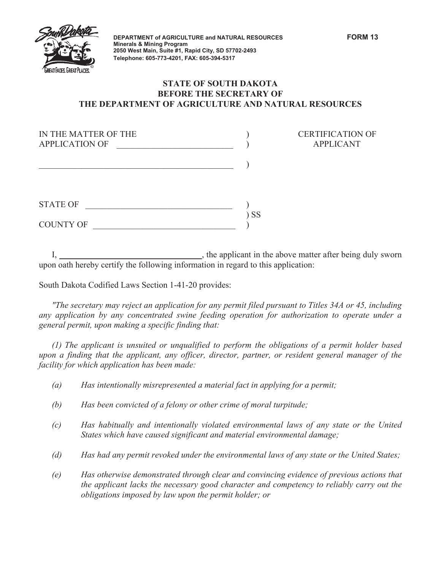

**DEPARTMENT of \$\*5,&8/785( and NATURAL RESOURCES FORM 13 Minerals & Mining Program 2050 West Main, Suite #1, Rapid City, SD 57702-2493 Telephone: 605-773-4201, FAX: 605-394-5317**

**CERTIFICATION OF** APPLICANT

## **STATE OF SOUTH DAKOTA BEFORE THE SECRETARY OF THE DEPARTMENT OF AGRICULTURE AND NATURAL RESOURCES**

| IN THE MATTER OF THE<br><b>APPLICATION OF</b> |    |
|-----------------------------------------------|----|
|                                               |    |
| <b>STATE OF</b>                               |    |
| <b>COUNTY OF</b>                              | SS |

If the applicant in the above matter after being duly sworn upon oath hereby certify the following information in regard to this application:

South Dakota Codified Laws Section 1-41-20 provides:

*"The secretary may reject an application for any permit filed pursuant to Titles 34A or 45, including any application by any concentrated swine feeding operation for authorization to operate under a general permit, upon making a specific finding that:* 

*(1) The applicant is unsuited or unqualified to perform the obligations of a permit holder based upon a finding that the applicant, any officer, director, partner, or resident general manager of the facility for which application has been made:* 

- *(a) Has intentionally misrepresented a material fact in applying for a permit;*
- *(b) Has been convicted of a felony or other crime of moral turpitude;*
- *(c) Has habitually and intentionally violated environmental laws of any state or the United States which have caused significant and material environmental damage;*
- *(d) Has had any permit revoked under the environmental laws of any state or the United States;*
- *(e) Has otherwise demonstrated through clear and convincing evidence of previous actions that the applicant lacks the necessary good character and competency to reliably carry out the obligations imposed by law upon the permit holder; or*